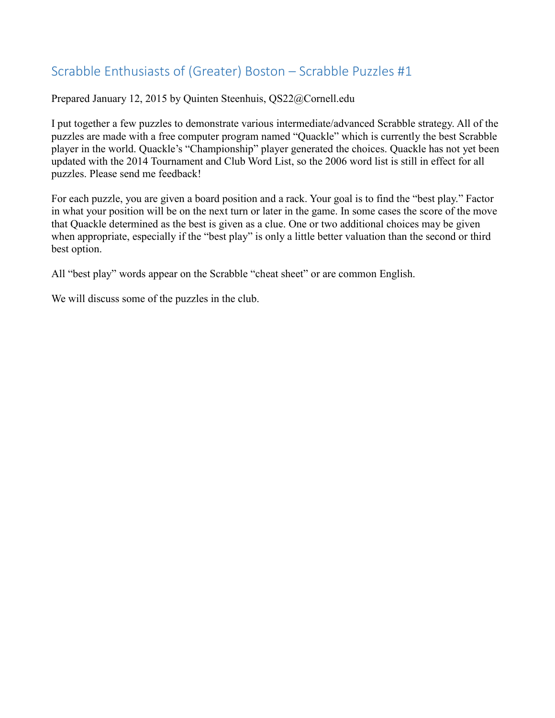## Scrabble Enthusiasts of (Greater) Boston – Scrabble Puzzles #1

Prepared January 12, 2015 by Quinten Steenhuis, QS22@Cornell.edu

I put together a few puzzles to demonstrate various intermediate/advanced Scrabble strategy. All of the puzzles are made with a free computer program named "Quackle" which is currently the best Scrabble player in the world. Quackle's "Championship" player generated the choices. Quackle has not yet been updated with the 2014 Tournament and Club Word List, so the 2006 word list is still in effect for all puzzles. Please send me feedback!

For each puzzle, you are given a board position and a rack. Your goal is to find the "best play." Factor in what your position will be on the next turn or later in the game. In some cases the score of the move that Quackle determined as the best is given as a clue. One or two additional choices may be given when appropriate, especially if the "best play" is only a little better valuation than the second or third best option.

All "best play" words appear on the Scrabble "cheat sheet" or are common English.

We will discuss some of the puzzles in the club.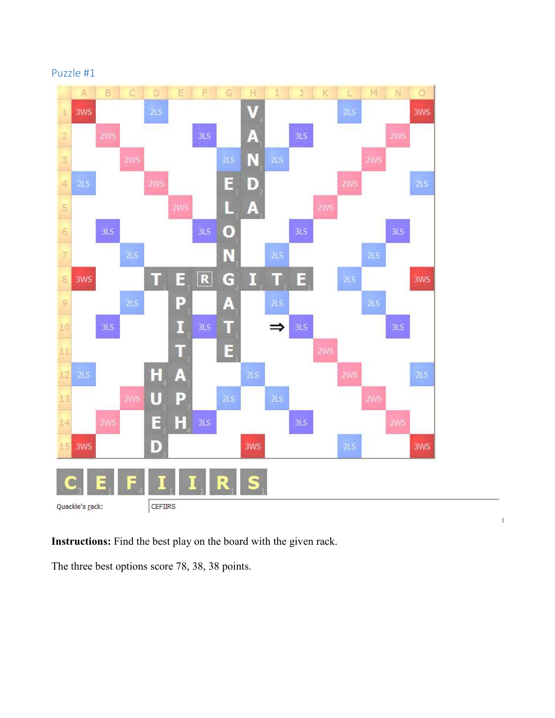

 $\ensuremath{\mathsf{I}}$ 

## Puzzle #1

**Instructions:** Find the best play on the board with the given rack.

The three best options score 78, 38, 38 points.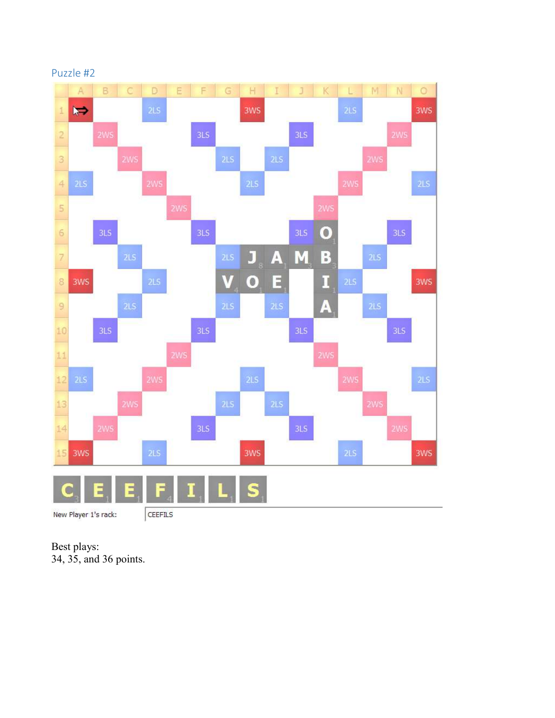

Best plays: 34, 35, and 36 points.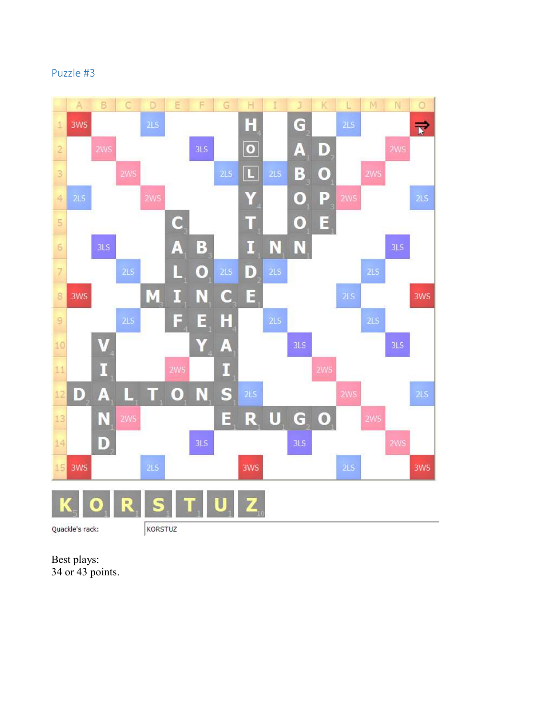## Puzzle #3



Best plays: 34 or 43 points.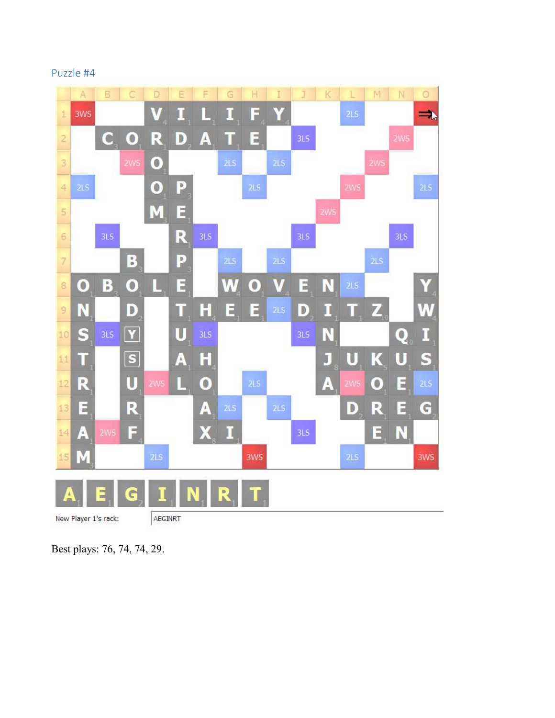Puzzle #4



Best plays: 76, 74, 74, 29.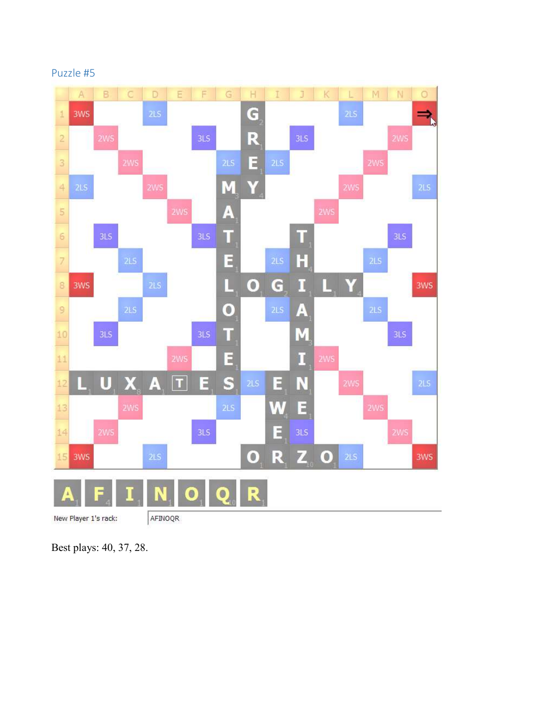



Best plays: 40, 37, 28.